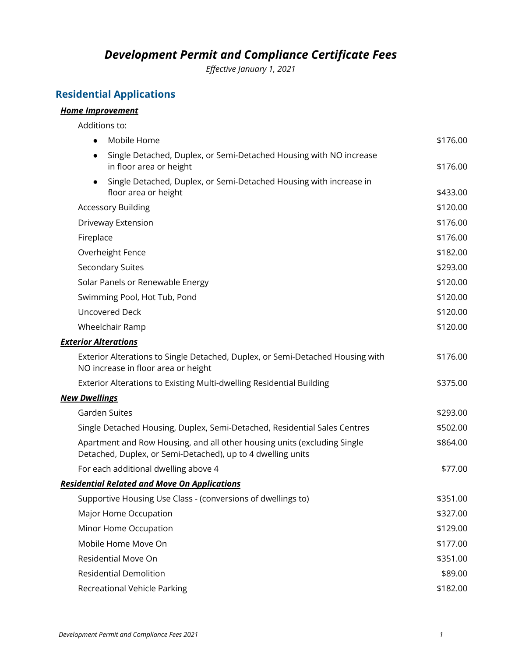### *Development Permit and Compliance Certificate Fees*

*Effective January 1, 2021*

#### **Residential Applications**

#### *Home Improvement*

Additions to: ● Mobile Home \$176.00 ● Single Detached, Duplex, or Semi-Detached Housing with NO increase in floor area or height  $\sim$  5176.00 Single Detached, Duplex, or Semi-Detached Housing with increase in floor area or height  $\sim$  5433.00 Accessory Building  $\sim$  8120.00 Driveway Extension \$176.00 Fireplace \$176.00 Overheight Fence \$182.00 Secondary Suites \$293.00 Solar Panels or Renewable Energy  $\sim$  8120.00 Swimming Pool, Hot Tub, Pond \$120.00 Uncovered Deck \$120.00 Wheelchair Ramp  $$120.00$ *Exterior Alterations* Exterior Alterations to Single Detached, Duplex, or Semi-Detached Housing with NO increase in floor area or height \$176.00 Exterior Alterations to Existing Multi-dwelling Residential Building **\$275.00** \$375.00 *New Dwellings* Garden Suites \$293.00 Single Detached Housing, Duplex, Semi-Detached, Residential Sales Centres  $$502.00$ Apartment and Row Housing, and all other housing units (excluding Single Detached, Duplex, or Semi-Detached), up to 4 dwelling units \$864.00 For each additional dwelling above 4  $$77.00$ *Residential Related and Move On Applications* Supportive Housing Use Class - (conversions of dwellings to)  $$351.00$ Major Home Occupation  $$327.00$ Minor Home Occupation  $$129.00$ Mobile Home Move On  $$177.00$ Residential Move On **\$351.00** Residential Demolition \$89.00

Recreational Vehicle Parking  $$182.00$ 

*Development Permit and Compliance Fees 2021 1*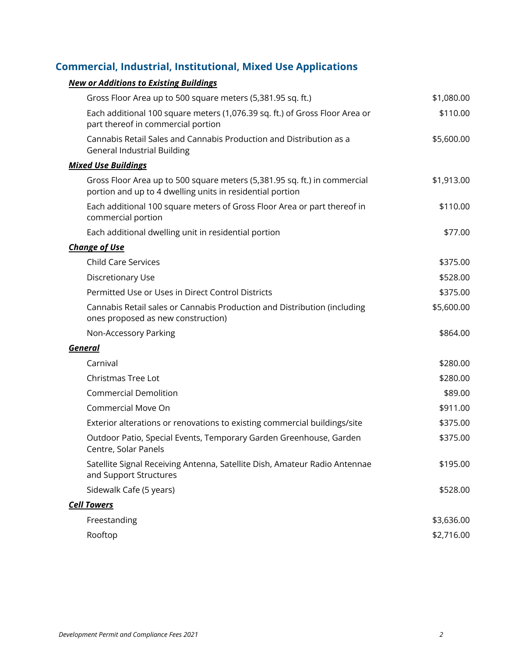# **Commercial, Industrial, Institutional, Mixed Use Applications**

### *New or Additions to Existing Buildings*

| Gross Floor Area up to 500 square meters (5,381.95 sq. ft.)                                                                            | \$1,080.00 |
|----------------------------------------------------------------------------------------------------------------------------------------|------------|
| Each additional 100 square meters (1,076.39 sq. ft.) of Gross Floor Area or<br>part thereof in commercial portion                      | \$110.00   |
| Cannabis Retail Sales and Cannabis Production and Distribution as a<br><b>General Industrial Building</b>                              | \$5,600.00 |
| <b>Mixed Use Buildings</b>                                                                                                             |            |
| Gross Floor Area up to 500 square meters (5,381.95 sq. ft.) in commercial<br>portion and up to 4 dwelling units in residential portion | \$1,913.00 |
| Each additional 100 square meters of Gross Floor Area or part thereof in<br>commercial portion                                         | \$110.00   |
| Each additional dwelling unit in residential portion                                                                                   | \$77.00    |
| <b>Change of Use</b>                                                                                                                   |            |
| <b>Child Care Services</b>                                                                                                             | \$375.00   |
| Discretionary Use                                                                                                                      | \$528.00   |
| Permitted Use or Uses in Direct Control Districts                                                                                      | \$375.00   |
| Cannabis Retail sales or Cannabis Production and Distribution (including<br>ones proposed as new construction)                         | \$5,600.00 |
| Non-Accessory Parking                                                                                                                  | \$864.00   |
| <b>General</b>                                                                                                                         |            |
| Carnival                                                                                                                               | \$280.00   |
| Christmas Tree Lot                                                                                                                     | \$280.00   |
| <b>Commercial Demolition</b>                                                                                                           | \$89.00    |
| Commercial Move On                                                                                                                     | \$911.00   |
| Exterior alterations or renovations to existing commercial buildings/site                                                              | \$375.00   |
| Outdoor Patio, Special Events, Temporary Garden Greenhouse, Garden<br>Centre, Solar Panels                                             | \$375.00   |
| Satellite Signal Receiving Antenna, Satellite Dish, Amateur Radio Antennae<br>and Support Structures                                   | \$195.00   |
| Sidewalk Cafe (5 years)                                                                                                                | \$528.00   |
| <b>Cell Towers</b>                                                                                                                     |            |
| Freestanding                                                                                                                           | \$3,636.00 |
| Rooftop                                                                                                                                | \$2,716.00 |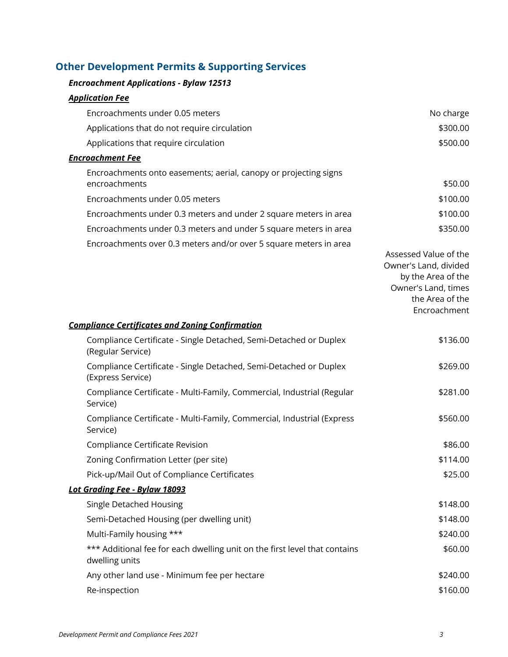## **Other Development Permits & Supporting Services**

#### *Encroachment Applications - Bylaw 12513*

#### *Application Fee*

| Encroachments under 0.05 meters                                   | No charge             |  |  |
|-------------------------------------------------------------------|-----------------------|--|--|
| Applications that do not require circulation                      | \$300.00              |  |  |
| Applications that require circulation                             | \$500.00              |  |  |
| <b>Encroachment Fee</b>                                           |                       |  |  |
| Encroachments onto easements; aerial, canopy or projecting signs  |                       |  |  |
| encroachments                                                     | \$50.00               |  |  |
| Encroachments under 0.05 meters                                   | \$100.00              |  |  |
| Encroachments under 0.3 meters and under 2 square meters in area  | \$100.00              |  |  |
| Encroachments under 0.3 meters and under 5 square meters in area  | \$350.00              |  |  |
| Encroachments over 0.3 meters and/or over 5 square meters in area |                       |  |  |
|                                                                   | Assessed Value of the |  |  |

Owner's Land, divided by the Area of the Owner's Land, times the Area of the Encroachment

#### *Compliance Certificates and Zoning Confirmation*

| Compliance Certificate - Single Detached, Semi-Detached or Duplex<br>(Regular Service)       | \$136.00 |
|----------------------------------------------------------------------------------------------|----------|
| Compliance Certificate - Single Detached, Semi-Detached or Duplex<br>(Express Service)       | \$269.00 |
| Compliance Certificate - Multi-Family, Commercial, Industrial (Regular<br>Service)           | \$281.00 |
| Compliance Certificate - Multi-Family, Commercial, Industrial (Express<br>Service)           | \$560.00 |
| Compliance Certificate Revision                                                              | \$86.00  |
| Zoning Confirmation Letter (per site)                                                        | \$114.00 |
| Pick-up/Mail Out of Compliance Certificates                                                  | \$25.00  |
| <u>Lot Grading Fee - Bylaw 18093</u>                                                         |          |
| Single Detached Housing                                                                      | \$148.00 |
| Semi-Detached Housing (per dwelling unit)                                                    | \$148.00 |
| Multi-Family housing ***                                                                     | \$240.00 |
| *** Additional fee for each dwelling unit on the first level that contains<br>dwelling units | \$60.00  |
| Any other land use - Minimum fee per hectare                                                 | \$240.00 |
| Re-inspection                                                                                | \$160.00 |
|                                                                                              |          |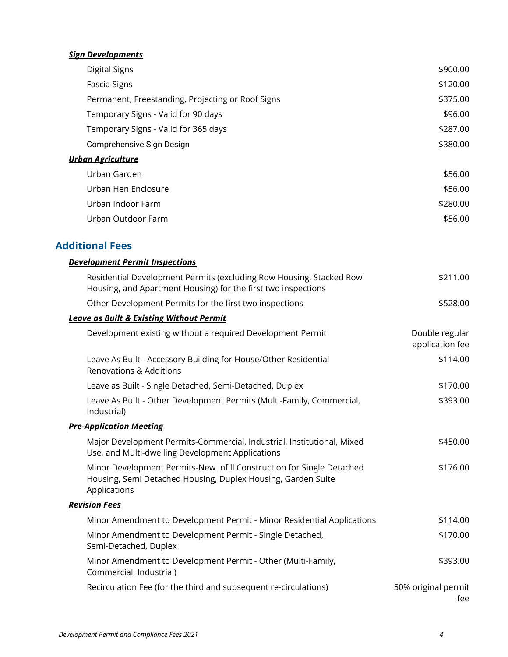### *Sign Developments*

|                          | Digital Signs                                     | \$900.00 |  |
|--------------------------|---------------------------------------------------|----------|--|
|                          | Fascia Signs                                      | \$120.00 |  |
|                          | Permanent, Freestanding, Projecting or Roof Signs | \$375.00 |  |
|                          | Temporary Signs - Valid for 90 days               | \$96.00  |  |
|                          | Temporary Signs - Valid for 365 days              | \$287.00 |  |
|                          | Comprehensive Sign Design                         | \$380.00 |  |
| <b>Urban Agriculture</b> |                                                   |          |  |
|                          | Urban Garden                                      | \$56.00  |  |
|                          | Urban Hen Enclosure                               | \$56.00  |  |
|                          | Urban Indoor Farm                                 | \$280.00 |  |
|                          | Urban Outdoor Farm                                | \$56.00  |  |
|                          |                                                   |          |  |

### **Additional Fees**

| <b>Development Permit Inspections</b>                                                                                                                 |                                   |  |  |  |
|-------------------------------------------------------------------------------------------------------------------------------------------------------|-----------------------------------|--|--|--|
| Residential Development Permits (excluding Row Housing, Stacked Row<br>Housing, and Apartment Housing) for the first two inspections                  | \$211.00                          |  |  |  |
| Other Development Permits for the first two inspections                                                                                               | \$528.00                          |  |  |  |
| <b>Leave as Built &amp; Existing Without Permit</b>                                                                                                   |                                   |  |  |  |
| Development existing without a required Development Permit                                                                                            | Double regular<br>application fee |  |  |  |
| Leave As Built - Accessory Building for House/Other Residential<br><b>Renovations &amp; Additions</b>                                                 | \$114.00                          |  |  |  |
| Leave as Built - Single Detached, Semi-Detached, Duplex                                                                                               | \$170.00                          |  |  |  |
| Leave As Built - Other Development Permits (Multi-Family, Commercial,<br>Industrial)                                                                  | \$393.00                          |  |  |  |
| <b>Pre-Application Meeting</b>                                                                                                                        |                                   |  |  |  |
| Major Development Permits-Commercial, Industrial, Institutional, Mixed<br>Use, and Multi-dwelling Development Applications                            | \$450.00                          |  |  |  |
| Minor Development Permits-New Infill Construction for Single Detached<br>Housing, Semi Detached Housing, Duplex Housing, Garden Suite<br>Applications | \$176.00                          |  |  |  |
| <b>Revision Fees</b>                                                                                                                                  |                                   |  |  |  |
| Minor Amendment to Development Permit - Minor Residential Applications                                                                                | \$114.00                          |  |  |  |
| Minor Amendment to Development Permit - Single Detached,<br>Semi-Detached, Duplex                                                                     | \$170.00                          |  |  |  |
| Minor Amendment to Development Permit - Other (Multi-Family,<br>Commercial, Industrial)                                                               | \$393.00                          |  |  |  |
| Recirculation Fee (for the third and subsequent re-circulations)                                                                                      | 50% original permit<br>fee        |  |  |  |